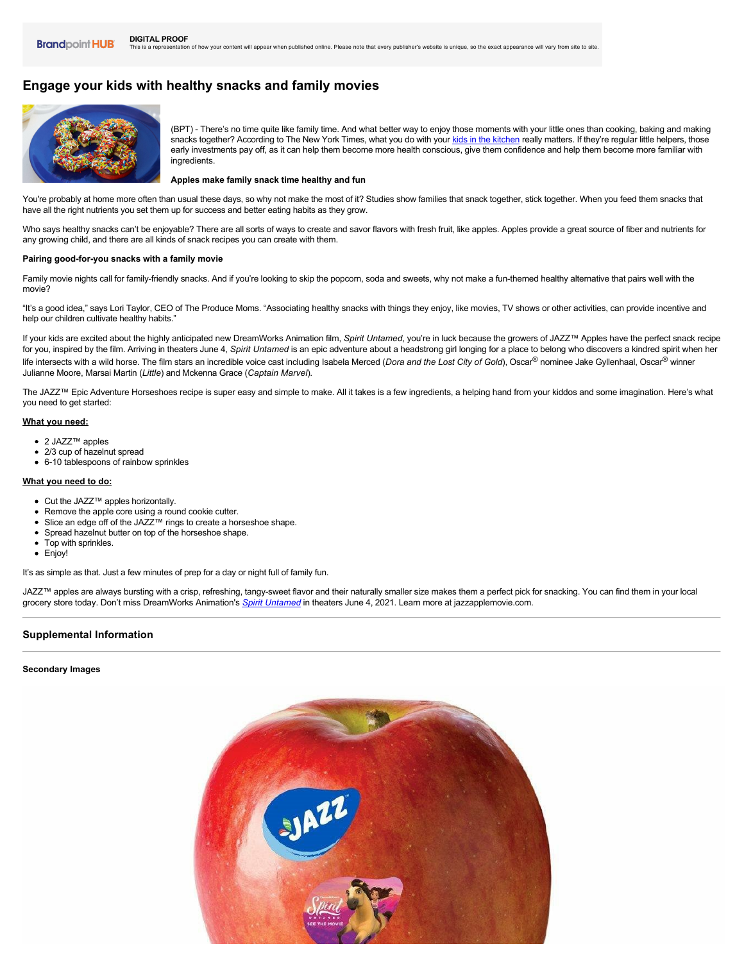# **Engage your kids with healthy snacks and family movies**



(BPT) - There's no time quite like family time. And what better way to enjoy those moments with your little ones than cooking, baking and making snacks together? According to The New York Times, what you do with your [kids in the kitchen](https://www.nytimes.com/2015/09/03/dining/cooking-with-kids-5-reasons-you-should-be-doing-it.html) really matters. If they're regular little helpers, those early investments pay off, as it can help them become more health conscious, give them confidence and help them become more familiar with ingredients.

#### **Apples make family snack time healthy and fun**

You're probably at home more often than usual these days, so why not make the most of it? Studies show families that snack together, stick together. When you feed them snacks that have all the right nutrients you set them up for success and better eating habits as they grow.

Who says healthy snacks can't be enjoyable? There are all sorts of ways to create and savor flavors with fresh fruit, like apples. Apples provide a great source of fiber and nutrients for any growing child, and there are all kinds of snack recipes you can create with them.

## Pairing good-for-you snacks with a family movie

Family movie nights call for family-friendly snacks. And if you're looking to skip the popcorn, soda and sweets, why not make a fun-themed healthy alternative that pairs well with the movie?

"It's a good idea," says Lori Taylor, CEO of The Produce Moms. "Associating healthy snacks with things they enjoy, like movies, TV shows or other activities, can provide incentive and help our children cultivate healthy habits."

If your kids are excited about the highly anticipated new DreamWorks Animation film, *Spirit Untamed*, you're in luck because the growers of JAZZ™ Apples have the perfect snack recipe for you, inspired by the film. Arriving in theaters June 4, Spirit Untamed is an epic adventure about a headstrong girl longing for a place to belong who discovers a kindred spirit when her life intersects with a wild horse. The film stars an incredible voice cast including Isabela Merced (*Dora and the Lost City of Gold*), Oscar® nominee Jake Gyllenhaal, Oscar® winner Julianne Moore, Marsai Martin (*Little*) and Mckenna Grace (*Captain Marvel*).

The JAZZ™ Epic Adventure Horseshoes recipe is super easy and simple to make. All it takes is a few ingredients, a helping hand from your kiddos and some imagination. Here's what you need to get started:

## **What you need:**

- 2 JAZZ™ apples
- 2/3 cup of hazelnut spread
- 610 tablespoons of rainbow sprinkles

#### **What you need to do:**

- Cut the JAZZ™ apples horizontally.
- Remove the apple core using a round cookie cutter.
- Slice an edge off of the JAZZ<sup>™</sup> rings to create a horseshoe shape.
- Spread hazelnut butter on top of the horseshoe shape.
- Top with sprinkles.
- Enjoy!

It's as simple as that. Just a few minutes of prep for a day or night full of family fun.

JAZZ™ apples are always bursting with a crisp, refreshing, tangysweet flavor and their naturally smaller size makes them a perfect pick for snacking. You can find them in your local grocery store today. Don't miss DreamWorks Animation's *[Spirit Untamed](https://jazzapple.com/us/movie/)* in theaters June 4, 2021. Learn more at jazzapplemovie.com.

## **Supplemental Information**

#### **Secondary Images**